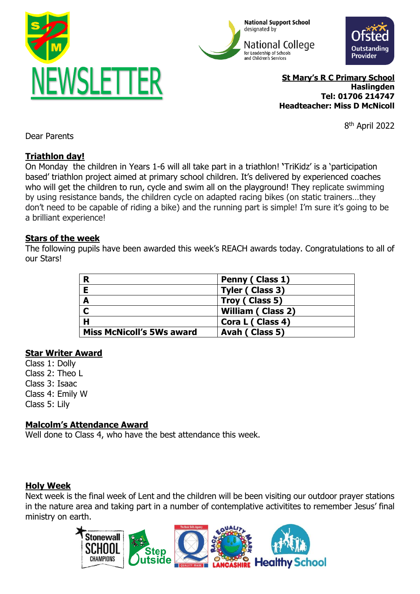





**St Mary's R C Primary School Haslingden Tel: 01706 214747 Headteacher: Miss D McNicoll**

8 th April 2022

Dear Parents

# **Triathlon day!**

On Monday the children in Years 1-6 will all take part in a triathlon! **'**TriKidz' is a 'participation based' triathlon project aimed at primary school children. It's delivered by experienced coaches who will get the children to run, cycle and swim all on the playground! They replicate swimming by using resistance bands, the children cycle on adapted racing bikes (on static trainers…they don't need to be capable of riding a bike) and the running part is simple! I'm sure it's going to be a brilliant experience!

# **Stars of the week**

The following pupils have been awarded this week's REACH awards today. Congratulations to all of our Stars!

| R                                | Penny (Class 1)          |
|----------------------------------|--------------------------|
| E                                | Tyler (Class 3)          |
| A                                | Troy (Class 5)           |
| $\mathbf C$                      | <b>William (Class 2)</b> |
| $\mathbf H$                      | Cora L (Class 4)         |
| <b>Miss McNicoll's 5Ws award</b> | Avah (Class 5)           |

# **Star Writer Award**

Class 1: Dolly Class 2: Theo L Class 3: Isaac

Class 4: Emily W

Class 5: Lily

# **Malcolm's Attendance Award**

Well done to Class 4, who have the best attendance this week.

# **Holy Week**

Next week is the final week of Lent and the children will be been visiting our outdoor prayer stations in the nature area and taking part in a number of contemplative activitites to remember Jesus' final ministry on earth.